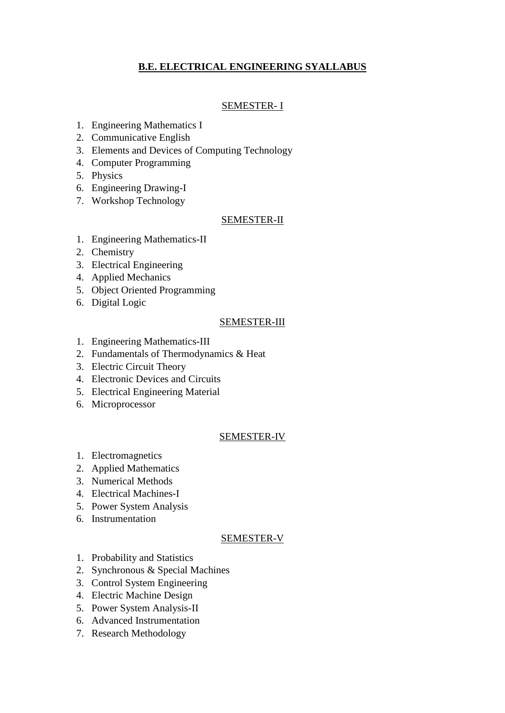# **B.E. ELECTRICAL ENGINEERING SYALLABUS**

## SEMESTER- I

- 1. Engineering Mathematics I
- 2. Communicative English
- 3. Elements and Devices of Computing Technology
- 4. Computer Programming
- 5. Physics
- 6. Engineering Drawing-I
- 7. Workshop Technology

## SEMESTER-II

- 1. Engineering Mathematics-II
- 2. Chemistry
- 3. Electrical Engineering
- 4. Applied Mechanics
- 5. Object Oriented Programming
- 6. Digital Logic

## SEMESTER-III

- 1. Engineering Mathematics-III
- 2. Fundamentals of Thermodynamics & Heat
- 3. Electric Circuit Theory
- 4. Electronic Devices and Circuits
- 5. Electrical Engineering Material
- 6. Microprocessor

## SEMESTER-IV

- 1. Electromagnetics
- 2. Applied Mathematics
- 3. Numerical Methods
- 4. Electrical Machines-I
- 5. Power System Analysis
- 6. Instrumentation

## SEMESTER-V

- 1. Probability and Statistics
- 2. Synchronous & Special Machines
- 3. Control System Engineering
- 4. Electric Machine Design
- 5. Power System Analysis-II
- 6. Advanced Instrumentation
- 7. Research Methodology